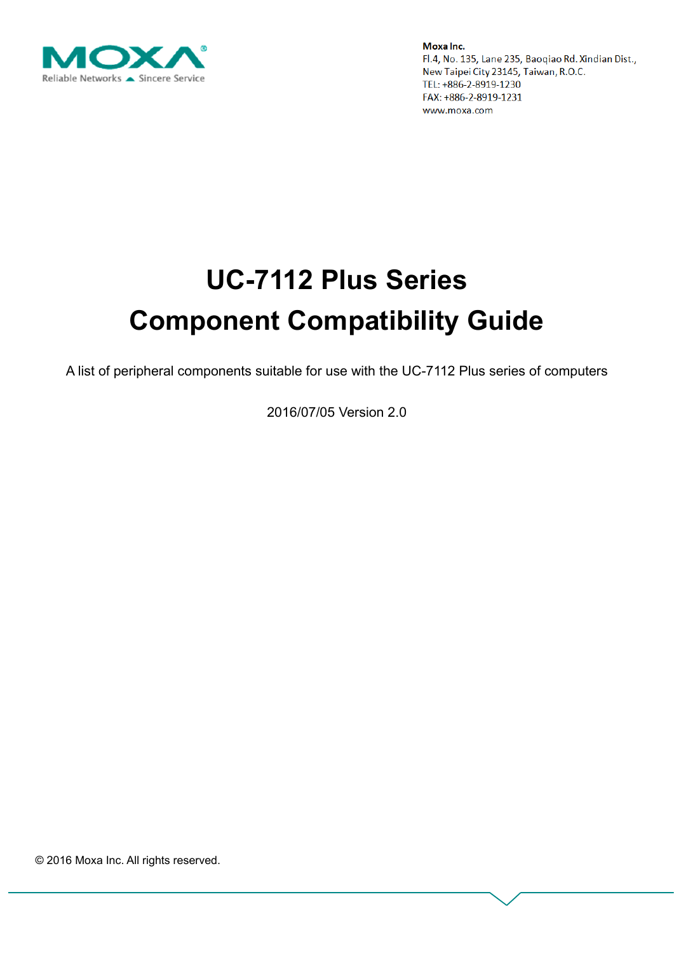

# **UC-7112 Plus Series Component Compatibility Guide**

A list of peripheral components suitable for use with the UC-7112 Plus series of computers

2016/07/05 Version 2.0

© 2016 Moxa Inc. All rights reserved.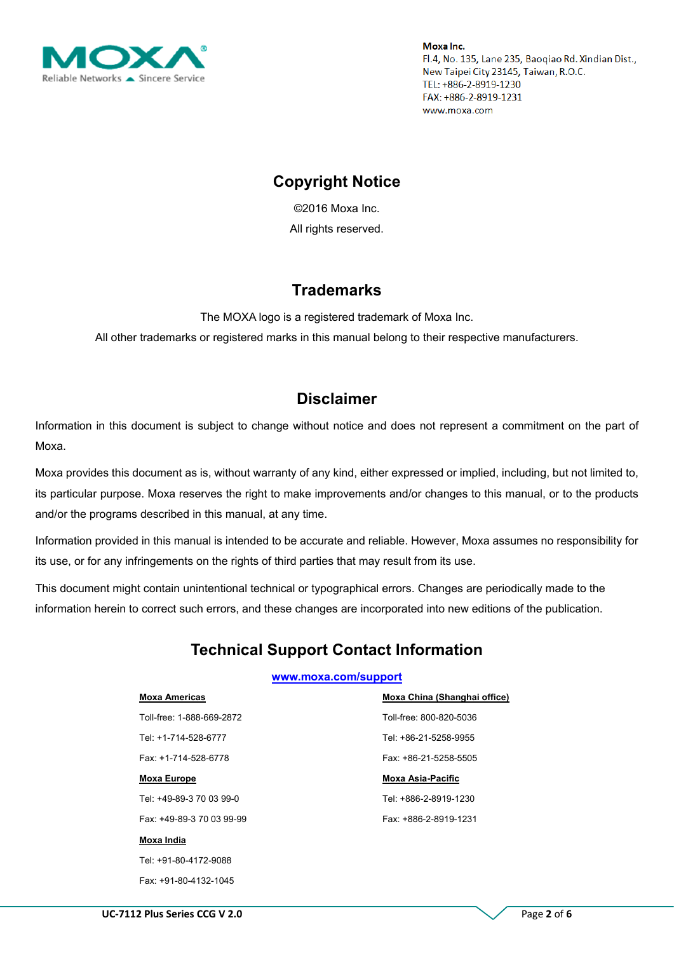

## **Copyright Notice**

©2016 Moxa Inc. All rights reserved.

## **Trademarks**

The MOXA logo is a registered trademark of Moxa Inc. All other trademarks or registered marks in this manual belong to their respective manufacturers.

## **Disclaimer**

Information in this document is subject to change without notice and does not represent a commitment on the part of Moxa.

Moxa provides this document as is, without warranty of any kind, either expressed or implied, including, but not limited to, its particular purpose. Moxa reserves the right to make improvements and/or changes to this manual, or to the products and/or the programs described in this manual, at any time.

Information provided in this manual is intended to be accurate and reliable. However, Moxa assumes no responsibility for its use, or for any infringements on the rights of third parties that may result from its use.

This document might contain unintentional technical or typographical errors. Changes are periodically made to the information herein to correct such errors, and these changes are incorporated into new editions of the publication.

# **Technical Support Contact Information**

#### **[www.moxa.com/support](http://www.moxa.com/support)**

#### **Moxa Americas**

Toll-free: 1-888-669-2872 Tel: +1-714-528-6777 Fax: +1-714-528-6778

#### **Moxa Europe**

Tel: +49-89-3 70 03 99-0

Fax: +49-89-3 70 03 99-99

#### **Moxa India**

Tel: +91-80-4172-9088 Fax: +91-80-4132-1045 **Moxa China (Shanghai office)** Toll-free: 800-820-5036 Tel: +86-21-5258-9955 Fax: +86-21-5258-5505

#### **Moxa Asia-Pacific**

Tel: +886-2-8919-1230 Fax: +886-2-8919-1231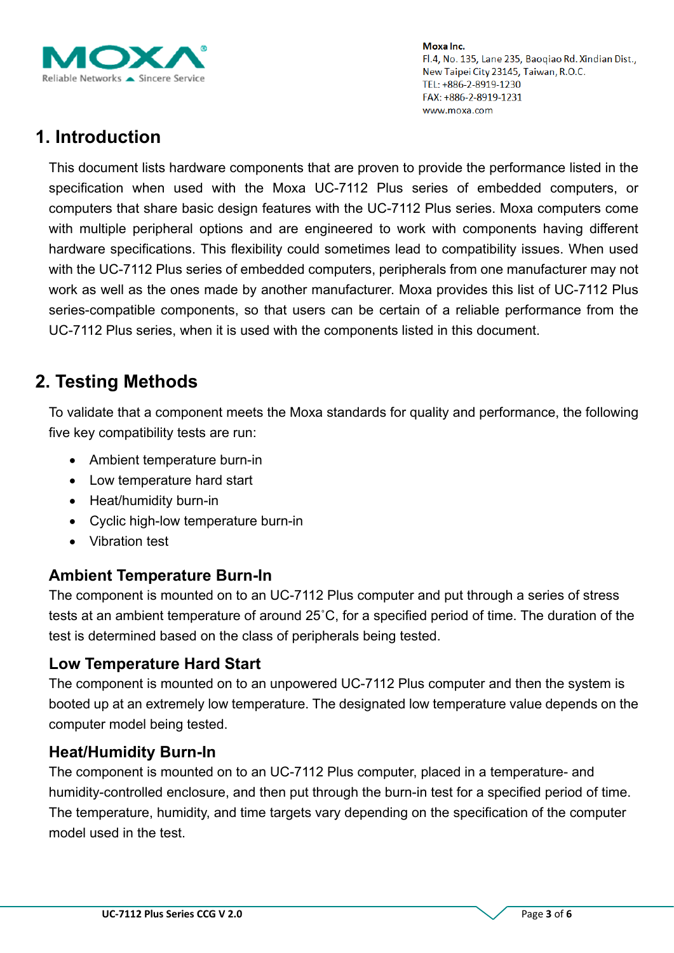

# **1. Introduction**

This document lists hardware components that are proven to provide the performance listed in the specification when used with the Moxa UC-7112 Plus series of embedded computers, or computers that share basic design features with the UC-7112 Plus series. Moxa computers come with multiple peripheral options and are engineered to work with components having different hardware specifications. This flexibility could sometimes lead to compatibility issues. When used with the UC-7112 Plus series of embedded computers, peripherals from one manufacturer may not work as well as the ones made by another manufacturer. Moxa provides this list of UC-7112 Plus series-compatible components, so that users can be certain of a reliable performance from the UC-7112 Plus series, when it is used with the components listed in this document.

# **2. Testing Methods**

To validate that a component meets the Moxa standards for quality and performance, the following five key compatibility tests are run:

- Ambient temperature burn-in
- Low temperature hard start
- Heat/humidity burn-in
- Cyclic high-low temperature burn-in
- Vibration test

## **Ambient Temperature Burn-In**

The component is mounted on to an UC-7112 Plus computer and put through a series of stress tests at an ambient temperature of around 25˚C, for a specified period of time. The duration of the test is determined based on the class of peripherals being tested.

## **Low Temperature Hard Start**

The component is mounted on to an unpowered UC-7112 Plus computer and then the system is booted up at an extremely low temperature. The designated low temperature value depends on the computer model being tested.

#### **Heat/Humidity Burn-In**

The component is mounted on to an UC-7112 Plus computer, placed in a temperature- and humidity-controlled enclosure, and then put through the burn-in test for a specified period of time. The temperature, humidity, and time targets vary depending on the specification of the computer model used in the test.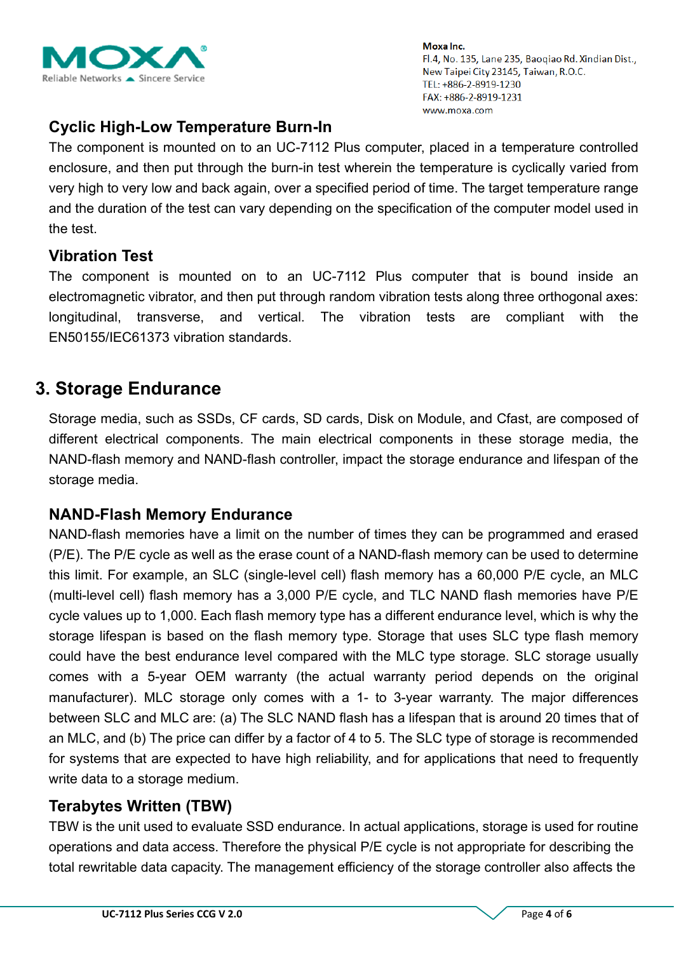

## **Cyclic High-Low Temperature Burn-In**

The component is mounted on to an UC-7112 Plus computer, placed in a temperature controlled enclosure, and then put through the burn-in test wherein the temperature is cyclically varied from very high to very low and back again, over a specified period of time. The target temperature range and the duration of the test can vary depending on the specification of the computer model used in the test.

## **Vibration Test**

The component is mounted on to an UC-7112 Plus computer that is bound inside an electromagnetic vibrator, and then put through random vibration tests along three orthogonal axes: longitudinal, transverse, and vertical. The vibration tests are compliant with the EN50155/IEC61373 vibration standards.

## **3. Storage Endurance**

Storage media, such as SSDs, CF cards, SD cards, Disk on Module, and Cfast, are composed of different electrical components. The main electrical components in these storage media, the NAND-flash memory and NAND-flash controller, impact the storage endurance and lifespan of the storage media.

## **NAND-Flash Memory Endurance**

NAND-flash memories have a limit on the number of times they can be programmed and erased (P/E). The P/E cycle as well as the erase count of a NAND-flash memory can be used to determine this limit. For example, an SLC (single-level cell) flash memory has a 60,000 P/E cycle, an MLC (multi-level cell) flash memory has a 3,000 P/E cycle, and TLC NAND flash memories have P/E cycle values up to 1,000. Each flash memory type has a different endurance level, which is why the storage lifespan is based on the flash memory type. Storage that uses SLC type flash memory could have the best endurance level compared with the MLC type storage. SLC storage usually comes with a 5-year OEM warranty (the actual warranty period depends on the original manufacturer). MLC storage only comes with a 1- to 3-year warranty. The major differences between SLC and MLC are: (a) The SLC NAND flash has a lifespan that is around 20 times that of an MLC, and (b) The price can differ by a factor of 4 to 5. The SLC type of storage is recommended for systems that are expected to have high reliability, and for applications that need to frequently write data to a storage medium.

## **Terabytes Written (TBW)**

TBW is the unit used to evaluate SSD endurance. In actual applications, storage is used for routine operations and data access. Therefore the physical P/E cycle is not appropriate for describing the total rewritable data capacity. The management efficiency of the storage controller also affects the

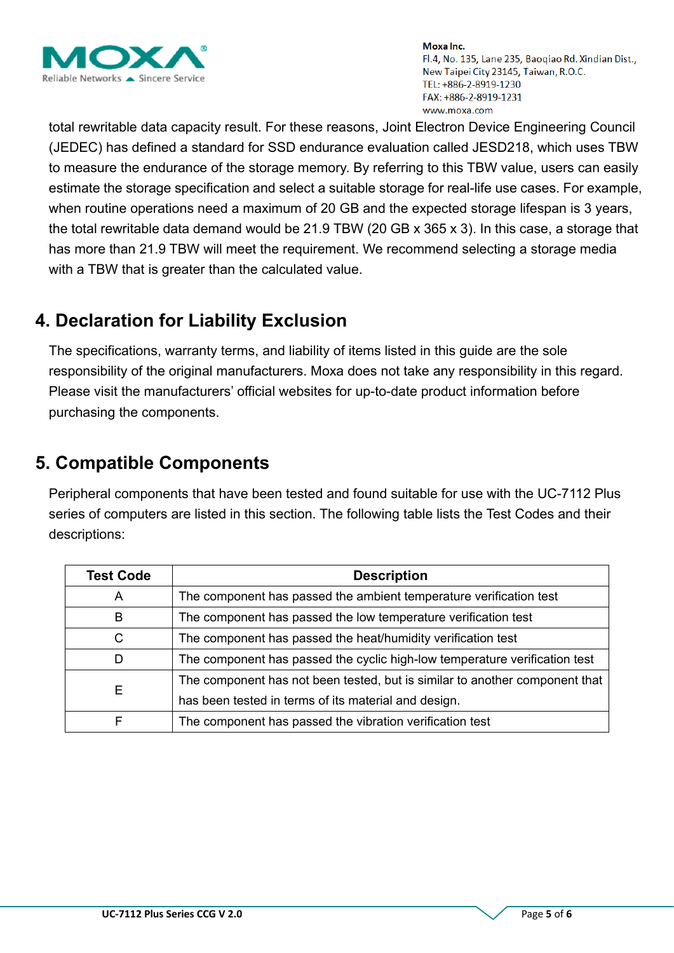

total rewritable data capacity result. For these reasons, Joint Electron Device Engineering Council (JEDEC) has defined a standard for SSD endurance evaluation called JESD218, which uses TBW to measure the endurance of the storage memory. By referring to this TBW value, users can easily estimate the storage specification and select a suitable storage for real-life use cases. For example, when routine operations need a maximum of 20 GB and the expected storage lifespan is 3 years, the total rewritable data demand would be 21.9 TBW (20 GB x 365 x 3). In this case, a storage that has more than 21.9 TBW will meet the requirement. We recommend selecting a storage media with a TBW that is greater than the calculated value.

# **4. Declaration for Liability Exclusion**

The specifications, warranty terms, and liability of items listed in this guide are the sole responsibility of the original manufacturers. Moxa does not take any responsibility in this regard. Please visit the manufacturers' official websites for up-to-date product information before purchasing the components.

# **5. Compatible Components**

Peripheral components that have been tested and found suitable for use with the UC-7112 Plus series of computers are listed in this section. The following table lists the Test Codes and their descriptions:

| <b>Test Code</b> | <b>Description</b>                                                          |  |  |  |  |  |
|------------------|-----------------------------------------------------------------------------|--|--|--|--|--|
| A                | The component has passed the ambient temperature verification test          |  |  |  |  |  |
| B                | The component has passed the low temperature verification test              |  |  |  |  |  |
| C                | The component has passed the heat/humidity verification test                |  |  |  |  |  |
| D                | The component has passed the cyclic high-low temperature verification test  |  |  |  |  |  |
|                  | The component has not been tested, but is similar to another component that |  |  |  |  |  |
| Е                | has been tested in terms of its material and design.                        |  |  |  |  |  |
|                  | The component has passed the vibration verification test                    |  |  |  |  |  |